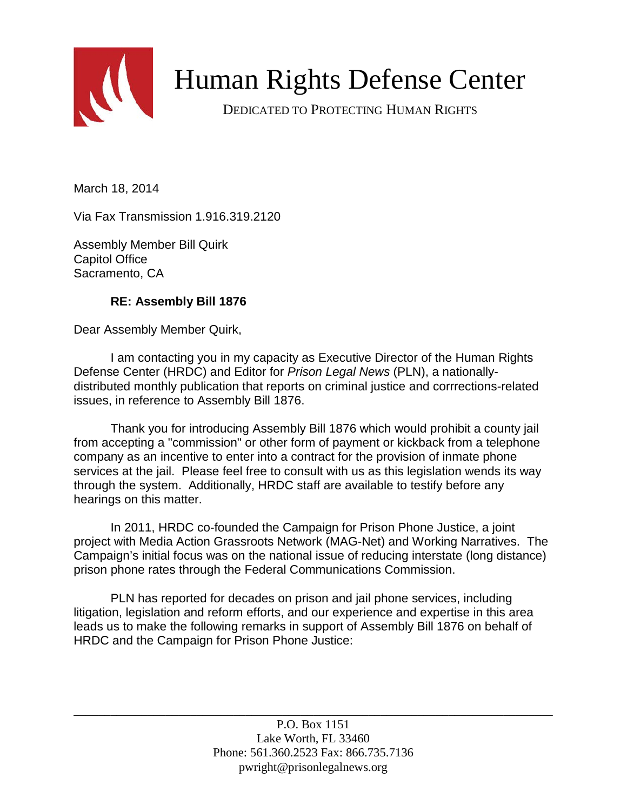

# Human Rights Defense Center

DEDICATED TO PROTECTING HUMAN RIGHTS

March 18, 2014

Via Fax Transmission 1.916.319.2120

Assembly Member Bill Quirk Capitol Office Sacramento, CA

# **RE: Assembly Bill 1876**

Dear Assembly Member Quirk,

I am contacting you in my capacity as Executive Director of the Human Rights Defense Center (HRDC) and Editor for *Prison Legal News* (PLN), a nationallydistributed monthly publication that reports on criminal justice and corrrections-related issues, in reference to Assembly Bill 1876.

Thank you for introducing Assembly Bill 1876 which would prohibit a county jail from accepting a "commission" or other form of payment or kickback from a telephone company as an incentive to enter into a contract for the provision of inmate phone services at the jail. Please feel free to consult with us as this legislation wends its way through the system. Additionally, HRDC staff are available to testify before any hearings on this matter.

In 2011, HRDC co-founded the Campaign for Prison Phone Justice, a joint project with Media Action Grassroots Network (MAG-Net) and Working Narratives. The Campaign's initial focus was on the national issue of reducing interstate (long distance) prison phone rates through the Federal Communications Commission.

PLN has reported for decades on prison and jail phone services, including litigation, legislation and reform efforts, and our experience and expertise in this area leads us to make the following remarks in support of Assembly Bill 1876 on behalf of HRDC and the Campaign for Prison Phone Justice:

\_\_\_\_\_\_\_\_\_\_\_\_\_\_\_\_\_\_\_\_\_\_\_\_\_\_\_\_\_\_\_\_\_\_\_\_\_\_\_\_\_\_\_\_\_\_\_\_\_\_\_\_\_\_\_\_\_\_\_\_\_\_\_\_\_\_\_\_\_\_\_\_\_\_\_\_\_\_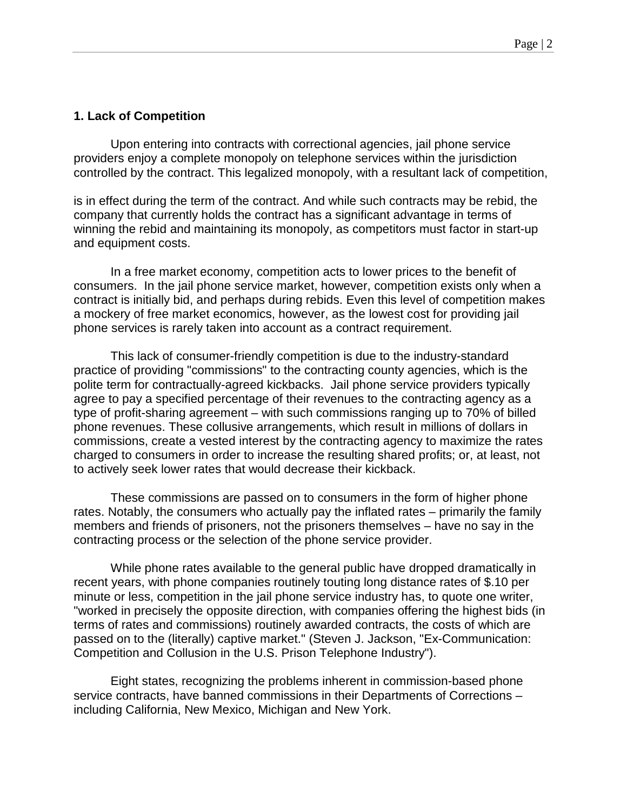### **1. Lack of Competition**

Upon entering into contracts with correctional agencies, jail phone service providers enjoy a complete monopoly on telephone services within the jurisdiction controlled by the contract. This legalized monopoly, with a resultant lack of competition,

is in effect during the term of the contract. And while such contracts may be rebid, the company that currently holds the contract has a significant advantage in terms of winning the rebid and maintaining its monopoly, as competitors must factor in start-up and equipment costs.

In a free market economy, competition acts to lower prices to the benefit of consumers. In the jail phone service market, however, competition exists only when a contract is initially bid, and perhaps during rebids. Even this level of competition makes a mockery of free market economics, however, as the lowest cost for providing jail phone services is rarely taken into account as a contract requirement.

This lack of consumer-friendly competition is due to the industry-standard practice of providing "commissions" to the contracting county agencies, which is the polite term for contractually-agreed kickbacks. Jail phone service providers typically agree to pay a specified percentage of their revenues to the contracting agency as a type of profit-sharing agreement – with such commissions ranging up to 70% of billed phone revenues. These collusive arrangements, which result in millions of dollars in commissions, create a vested interest by the contracting agency to maximize the rates charged to consumers in order to increase the resulting shared profits; or, at least, not to actively seek lower rates that would decrease their kickback.

These commissions are passed on to consumers in the form of higher phone rates. Notably, the consumers who actually pay the inflated rates – primarily the family members and friends of prisoners, not the prisoners themselves – have no say in the contracting process or the selection of the phone service provider.

While phone rates available to the general public have dropped dramatically in recent years, with phone companies routinely touting long distance rates of \$.10 per minute or less, competition in the jail phone service industry has, to quote one writer, "worked in precisely the opposite direction, with companies offering the highest bids (in terms of rates and commissions) routinely awarded contracts, the costs of which are passed on to the (literally) captive market." (Steven J. Jackson, "Ex-Communication: Competition and Collusion in the U.S. Prison Telephone Industry").

Eight states, recognizing the problems inherent in commission-based phone service contracts, have banned commissions in their Departments of Corrections – including California, New Mexico, Michigan and New York.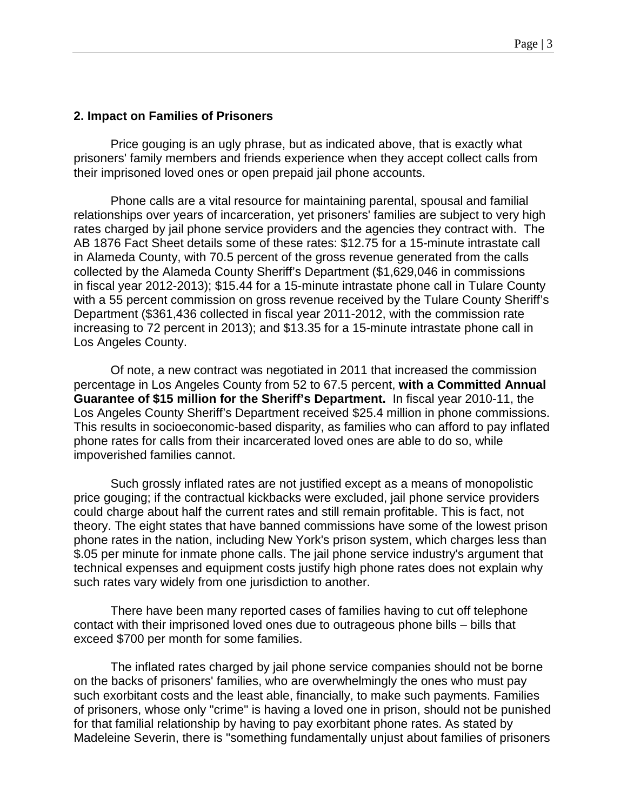#### **2. Impact on Families of Prisoners**

Price gouging is an ugly phrase, but as indicated above, that is exactly what prisoners' family members and friends experience when they accept collect calls from their imprisoned loved ones or open prepaid jail phone accounts.

Phone calls are a vital resource for maintaining parental, spousal and familial relationships over years of incarceration, yet prisoners' families are subject to very high rates charged by jail phone service providers and the agencies they contract with. The AB 1876 Fact Sheet details some of these rates: \$12.75 for a 15-minute intrastate call in Alameda County, with 70.5 percent of the gross revenue generated from the calls collected by the Alameda County Sheriff's Department (\$1,629,046 in commissions in fiscal year 2012-2013); \$15.44 for a 15-minute intrastate phone call in Tulare County with a 55 percent commission on gross revenue received by the Tulare County Sheriff's Department (\$361,436 collected in fiscal year 2011-2012, with the commission rate increasing to 72 percent in 2013); and \$13.35 for a 15-minute intrastate phone call in Los Angeles County.

Of note, a new contract was negotiated in 2011 that increased the commission percentage in Los Angeles County from 52 to 67.5 percent, **with a Committed Annual Guarantee of \$15 million for the Sheriff's Department.** In fiscal year 2010-11, the Los Angeles County Sheriff's Department received \$25.4 million in phone commissions. This results in socioeconomic-based disparity, as families who can afford to pay inflated phone rates for calls from their incarcerated loved ones are able to do so, while impoverished families cannot.

Such grossly inflated rates are not justified except as a means of monopolistic price gouging; if the contractual kickbacks were excluded, jail phone service providers could charge about half the current rates and still remain profitable. This is fact, not theory. The eight states that have banned commissions have some of the lowest prison phone rates in the nation, including New York's prison system, which charges less than \$.05 per minute for inmate phone calls. The jail phone service industry's argument that technical expenses and equipment costs justify high phone rates does not explain why such rates vary widely from one jurisdiction to another.

There have been many reported cases of families having to cut off telephone contact with their imprisoned loved ones due to outrageous phone bills – bills that exceed \$700 per month for some families.

The inflated rates charged by jail phone service companies should not be borne on the backs of prisoners' families, who are overwhelmingly the ones who must pay such exorbitant costs and the least able, financially, to make such payments. Families of prisoners, whose only "crime" is having a loved one in prison, should not be punished for that familial relationship by having to pay exorbitant phone rates. As stated by Madeleine Severin, there is "something fundamentally unjust about families of prisoners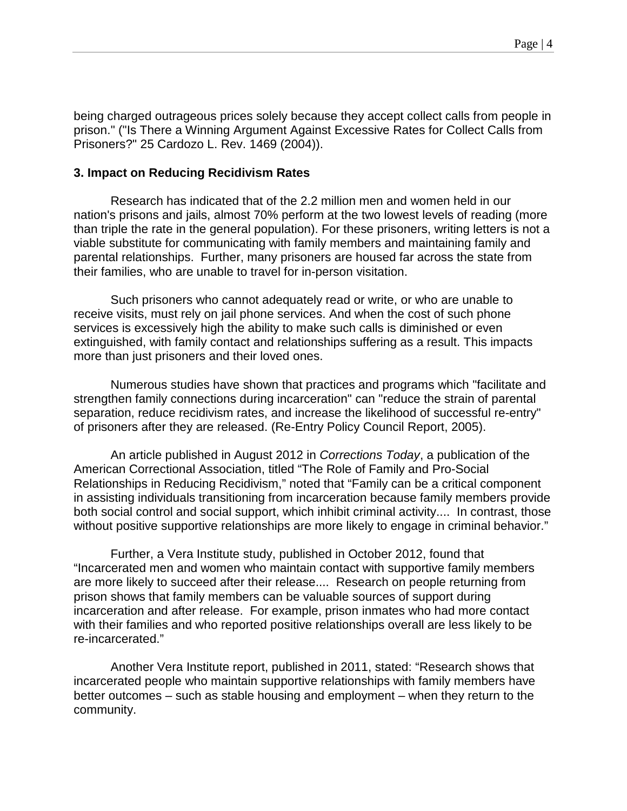being charged outrageous prices solely because they accept collect calls from people in prison." ("Is There a Winning Argument Against Excessive Rates for Collect Calls from Prisoners?" 25 Cardozo L. Rev. 1469 (2004)).

#### **3. Impact on Reducing Recidivism Rates**

Research has indicated that of the 2.2 million men and women held in our nation's prisons and jails, almost 70% perform at the two lowest levels of reading (more than triple the rate in the general population). For these prisoners, writing letters is not a viable substitute for communicating with family members and maintaining family and parental relationships. Further, many prisoners are housed far across the state from their families, who are unable to travel for in-person visitation.

Such prisoners who cannot adequately read or write, or who are unable to receive visits, must rely on jail phone services. And when the cost of such phone services is excessively high the ability to make such calls is diminished or even extinguished, with family contact and relationships suffering as a result. This impacts more than just prisoners and their loved ones.

Numerous studies have shown that practices and programs which "facilitate and strengthen family connections during incarceration" can "reduce the strain of parental separation, reduce recidivism rates, and increase the likelihood of successful re-entry" of prisoners after they are released. (Re-Entry Policy Council Report, 2005).

An article published in August 2012 in *Corrections Today*, a publication of the American Correctional Association, titled "The Role of Family and Pro-Social Relationships in Reducing Recidivism," noted that "Family can be a critical component in assisting individuals transitioning from incarceration because family members provide both social control and social support, which inhibit criminal activity.... In contrast, those without positive supportive relationships are more likely to engage in criminal behavior."

Further, a Vera Institute study, published in October 2012, found that "Incarcerated men and women who maintain contact with supportive family members are more likely to succeed after their release.... Research on people returning from prison shows that family members can be valuable sources of support during incarceration and after release. For example, prison inmates who had more contact with their families and who reported positive relationships overall are less likely to be re-incarcerated."

Another Vera Institute report, published in 2011, stated: "Research shows that incarcerated people who maintain supportive relationships with family members have better outcomes – such as stable housing and employment – when they return to the community.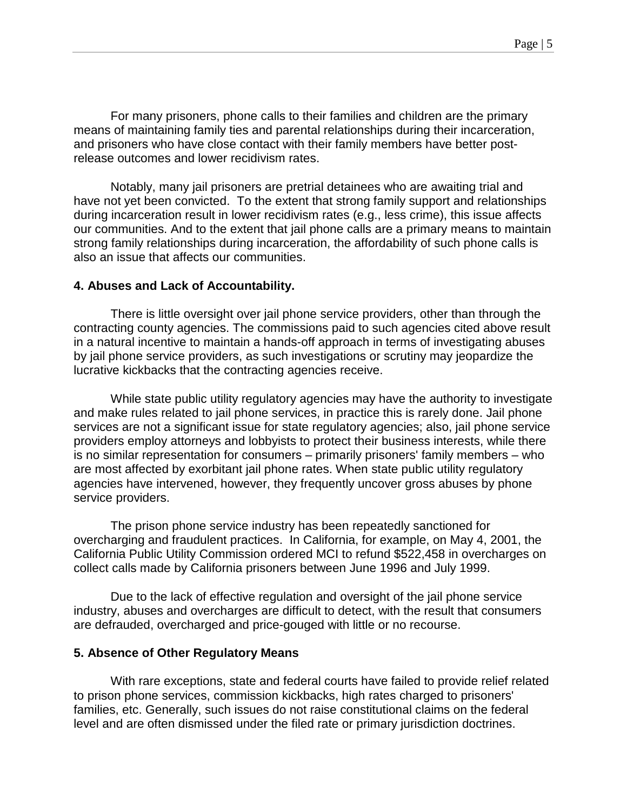For many prisoners, phone calls to their families and children are the primary means of maintaining family ties and parental relationships during their incarceration, and prisoners who have close contact with their family members have better postrelease outcomes and lower recidivism rates.

Notably, many jail prisoners are pretrial detainees who are awaiting trial and have not yet been convicted. To the extent that strong family support and relationships during incarceration result in lower recidivism rates (e.g., less crime), this issue affects our communities. And to the extent that jail phone calls are a primary means to maintain strong family relationships during incarceration, the affordability of such phone calls is also an issue that affects our communities.

#### **4. Abuses and Lack of Accountability.**

There is little oversight over jail phone service providers, other than through the contracting county agencies. The commissions paid to such agencies cited above result in a natural incentive to maintain a hands-off approach in terms of investigating abuses by jail phone service providers, as such investigations or scrutiny may jeopardize the lucrative kickbacks that the contracting agencies receive.

While state public utility regulatory agencies may have the authority to investigate and make rules related to jail phone services, in practice this is rarely done. Jail phone services are not a significant issue for state regulatory agencies; also, jail phone service providers employ attorneys and lobbyists to protect their business interests, while there is no similar representation for consumers – primarily prisoners' family members – who are most affected by exorbitant jail phone rates. When state public utility regulatory agencies have intervened, however, they frequently uncover gross abuses by phone service providers.

The prison phone service industry has been repeatedly sanctioned for overcharging and fraudulent practices. In California, for example, on May 4, 2001, the California Public Utility Commission ordered MCI to refund \$522,458 in overcharges on collect calls made by California prisoners between June 1996 and July 1999.

Due to the lack of effective regulation and oversight of the jail phone service industry, abuses and overcharges are difficult to detect, with the result that consumers are defrauded, overcharged and price-gouged with little or no recourse.

# **5. Absence of Other Regulatory Means**

With rare exceptions, state and federal courts have failed to provide relief related to prison phone services, commission kickbacks, high rates charged to prisoners' families, etc. Generally, such issues do not raise constitutional claims on the federal level and are often dismissed under the filed rate or primary jurisdiction doctrines.